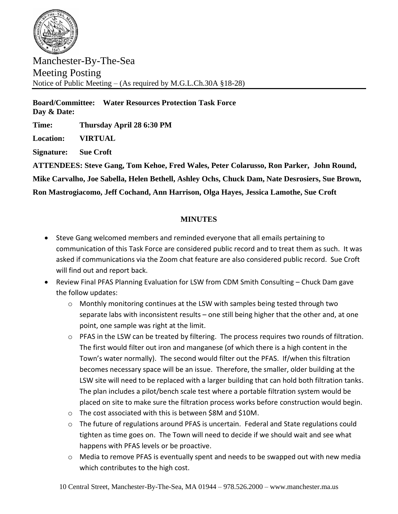

Manchester-By-The-Sea Meeting Posting Notice of Public Meeting – (As required by M.G.L.Ch.30A §18-28)

**Board/Committee: Water Resources Protection Task Force Day & Date:** 

**Time: Thursday April 28 6:30 PM**

**Location: VIRTUAL**

**Signature: Sue Croft**

**ATTENDEES: Steve Gang, Tom Kehoe, Fred Wales, Peter Colarusso, Ron Parker, John Round,** 

**Mike Carvalho, Joe Sabella, Helen Bethell, Ashley Ochs, Chuck Dam, Nate Desrosiers, Sue Brown,** 

**Ron Mastrogiacomo, Jeff Cochand, Ann Harrison, Olga Hayes, Jessica Lamothe, Sue Croft**

## **MINUTES**

- Steve Gang welcomed members and reminded everyone that all emails pertaining to communication of this Task Force are considered public record and to treat them as such. It was asked if communications via the Zoom chat feature are also considered public record. Sue Croft will find out and report back.
- Review Final PFAS Planning Evaluation for LSW from CDM Smith Consulting Chuck Dam gave the follow updates:
	- o Monthly monitoring continues at the LSW with samples being tested through two separate labs with inconsistent results – one still being higher that the other and, at one point, one sample was right at the limit.
	- $\circ$  PFAS in the LSW can be treated by filtering. The process requires two rounds of filtration. The first would filter out iron and manganese (of which there is a high content in the Town's water normally). The second would filter out the PFAS. If/when this filtration becomes necessary space will be an issue. Therefore, the smaller, older building at the LSW site will need to be replaced with a larger building that can hold both filtration tanks. The plan includes a pilot/bench scale test where a portable filtration system would be placed on site to make sure the filtration process works before construction would begin.
	- o The cost associated with this is between \$8M and \$10M.
	- $\circ$  The future of regulations around PFAS is uncertain. Federal and State regulations could tighten as time goes on. The Town will need to decide if we should wait and see what happens with PFAS levels or be proactive.
	- o Media to remove PFAS is eventually spent and needs to be swapped out with new media which contributes to the high cost.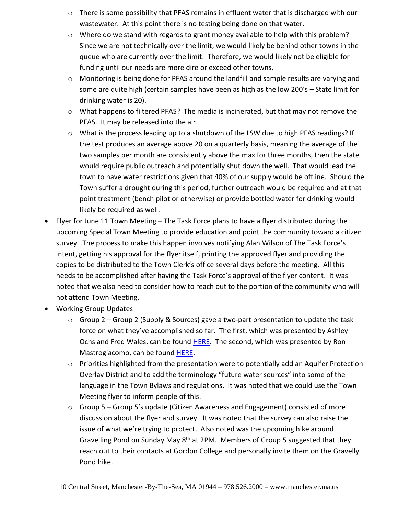- $\circ$  There is some possibility that PFAS remains in effluent water that is discharged with our wastewater. At this point there is no testing being done on that water.
- $\circ$  Where do we stand with regards to grant money available to help with this problem? Since we are not technically over the limit, we would likely be behind other towns in the queue who are currently over the limit. Therefore, we would likely not be eligible for funding until our needs are more dire or exceed other towns.
- o Monitoring is being done for PFAS around the landfill and sample results are varying and some are quite high (certain samples have been as high as the low 200's – State limit for drinking water is 20).
- $\circ$  What happens to filtered PFAS? The media is incinerated, but that may not remove the PFAS. It may be released into the air.
- $\circ$  What is the process leading up to a shutdown of the LSW due to high PFAS readings? If the test produces an average above 20 on a quarterly basis, meaning the average of the two samples per month are consistently above the max for three months, then the state would require public outreach and potentially shut down the well. That would lead the town to have water restrictions given that 40% of our supply would be offline. Should the Town suffer a drought during this period, further outreach would be required and at that point treatment (bench pilot or otherwise) or provide bottled water for drinking would likely be required as well.
- Flyer for June 11 Town Meeting The Task Force plans to have a flyer distributed during the upcoming Special Town Meeting to provide education and point the community toward a citizen survey. The process to make this happen involves notifying Alan Wilson of The Task Force's intent, getting his approval for the flyer itself, printing the approved flyer and providing the copies to be distributed to the Town Clerk's office several days before the meeting. All this needs to be accomplished after having the Task Force's approval of the flyer content. It was noted that we also need to consider how to reach out to the portion of the community who will not attend Town Meeting.
- Working Group Updates
	- $\circ$  Group 2 Group 2 (Supply & Sources) gave a two-part presentation to update the task force on what they've accomplished so far. The first, which was presented by Ashley Ochs and Fred Wales, can be found [HERE.](http://www.manchester.ma.us/DocumentCenter/View/4842/presentation-local-aquifers_AO_4_28_22) The second, which was presented by Ron Mastrogiacomo, can be found [HERE.](https://view.officeapps.live.com/op/view.aspx?src=http%3A%2F%2Fwww.manchester.ma.us%2FDocumentCenter%2FView%2F4843%2FWRTF-Regional_Group-2-Update-4_28_22&wdOrigin=BROWSELINK)
	- o Priorities highlighted from the presentation were to potentially add an Aquifer Protection Overlay District and to add the terminology "future water sources" into some of the language in the Town Bylaws and regulations. It was noted that we could use the Town Meeting flyer to inform people of this.
	- $\circ$  Group 5 Group 5's update (Citizen Awareness and Engagement) consisted of more discussion about the flyer and survey. It was noted that the survey can also raise the issue of what we're trying to protect. Also noted was the upcoming hike around Gravelling Pond on Sunday May 8<sup>th</sup> at 2PM. Members of Group 5 suggested that they reach out to their contacts at Gordon College and personally invite them on the Gravelly Pond hike.